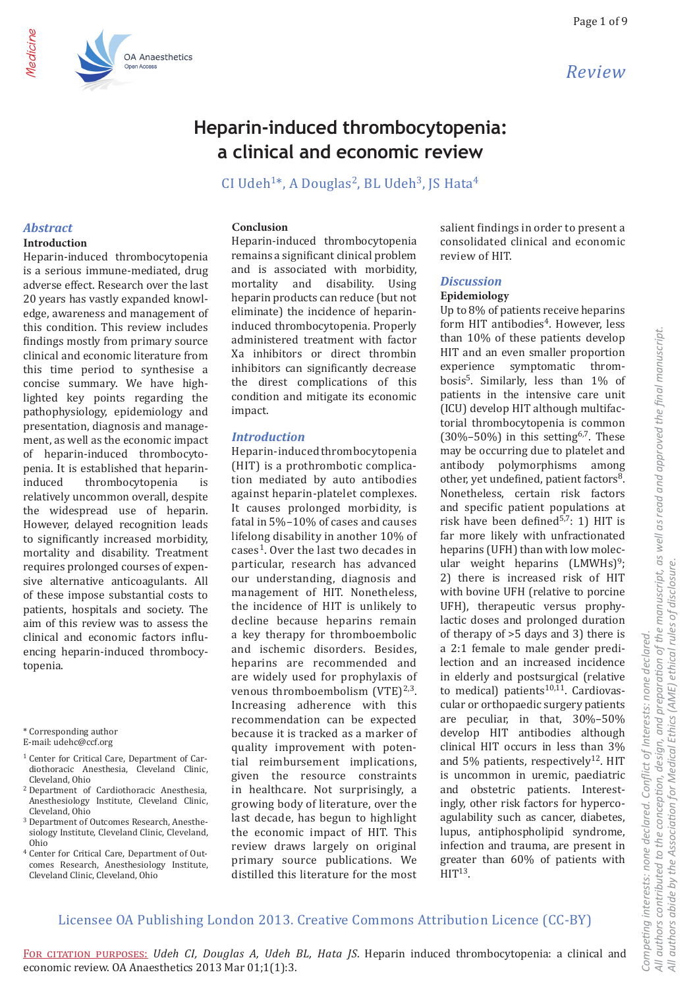

# Heparin-induced thrombocytopenia: a clinical and economic review

CI Udeh<sup>1\*</sup>, A Douglas<sup>2</sup>, BL Udeh<sup>3</sup>, JS Hata<sup>4</sup>

## **Abstract**

ledicine

## Introduction

Heparin-induced thrombocytopenia is a serious immune-mediated, drug adverse effect. Research over the last 20 years has vastly expanded knowledge, awareness and management of this condition. This review includes findings mostly from primary source clinical and economic literature from this time period to synthesise a concise summary. We have highlighted key points regarding the pathophysiology, epidemiology and presentation, diagnosis and management, as well as the economic impact of heparin-induced thrombocytopenia. It is established that heparininduced thrombocytopenia is relatively uncommon overall, despite the widespread use of heparin. However, delayed recognition leads to significantly increased morbidity, mortality and disability. Treatment requires prolonged courses of expensive alternative anticoagulants. All of these impose substantial costs to patients, hospitals and society. The aim of this review was to assess the clinical and economic factors influencing heparin-induced thrombocytopenia.

**OA Anaesthetics** 

\* Corresponding author

- E-mail: udehc@ccf.org
- <sup>1</sup> Center for Critical Care, Department of Cardiothoracic Anesthesia. Cleveland Clinic. Cleveland, Ohio
- <sup>2</sup> Department of Cardiothoracic Anesthesia, Anesthesiology Institute, Cleveland Clinic, Cleveland, Ohio
- <sup>3</sup> Department of Outcomes Research, Anesthesiology Institute, Cleveland Clinic, Cleveland, Ohio
- <sup>4</sup> Center for Critical Care, Department of Outcomes Research, Anesthesiology Institute. Cleveland Clinic, Cleveland, Ohio

#### Conclusion

Heparin-induced thrombocytopenia remains a significant clinical problem and is associated with morbidity. mortality and disability. Using heparin products can reduce (but not eliminate) the incidence of heparininduced thrombocytopenia. Properly administered treatment with factor Xa inhibitors or direct thrombin inhibitors can significantly decrease the direst complications of this condition and mitigate its economic impact.

## **Introduction**

Heparin-induced thrombocytopenia (HIT) is a prothrombotic complication mediated by auto antibodies against heparin-platelet complexes. It causes prolonged morbidity, is fatal in 5%-10% of cases and causes lifelong disability in another 10% of cases<sup>1</sup>. Over the last two decades in particular, research has advanced our understanding, diagnosis and management of HIT. Nonetheless, the incidence of HIT is unlikely to decline because heparins remain a key therapy for thromboembolic and ischemic disorders. Besides, heparins are recommended and are widely used for prophylaxis of venous thromboembolism  $(VTE)^{2,3}$ . Increasing adherence with this recommendation can be expected because it is tracked as a marker of quality improvement with potential reimbursement implications. given the resource constraints in healthcare. Not surprisingly, a growing body of literature, over the last decade, has begun to highlight the economic impact of HIT. This review draws largely on original primary source publications. We distilled this literature for the most salient findings in order to present a consolidated clinical and economic review of HIT.

#### **Discussion**

#### Epidemiology

Up to 8% of patients receive heparins form HIT antibodies<sup>4</sup>. However, less than 10% of these patients develop HIT and an even smaller proportion experience symptomatic thrombosis<sup>5</sup>. Similarly, less than 1% of patients in the intensive care unit (ICU) develop HIT although multifactorial thrombocytopenia is common  $(30\% - 50\%)$  in this setting<sup>6,7</sup>. These may be occurring due to platelet and antibody polymorphisms among other, yet undefined, patient factors<sup>8</sup>. Nonetheless, certain risk factors and specific patient populations at risk have been defined<sup>5,7</sup>: 1) HIT is far more likely with unfractionated heparins (UFH) than with low molecular weight heparins  $(LMWHs)<sup>9</sup>$ ; 2) there is increased risk of HIT with bovine UFH (relative to porcine UFH), therapeutic versus prophylactic doses and prolonged duration of therapy of  $>5$  days and 3) there is a 2:1 female to male gender predilection and an increased incidence in elderly and postsurgical (relative to medical) patients<sup>10,11</sup>. Cardiovascular or orthopaedic surgery patients are peculiar, in that, 30%-50% develop HIT antibodies although clinical HIT occurs in less than 3% and 5% patients, respectively<sup>12</sup>. HIT is uncommon in uremic, paediatric and obstetric patients. Interestingly, other risk factors for hypercoagulability such as cancer, diabetes, lupus, antiphospholipid syndrome, infection and trauma, are present in greater than 60% of patients with  $HIT<sup>13</sup>$ .

## Licensee OA Publishing London 2013. Creative Commons Attribution Licence (CC-BY)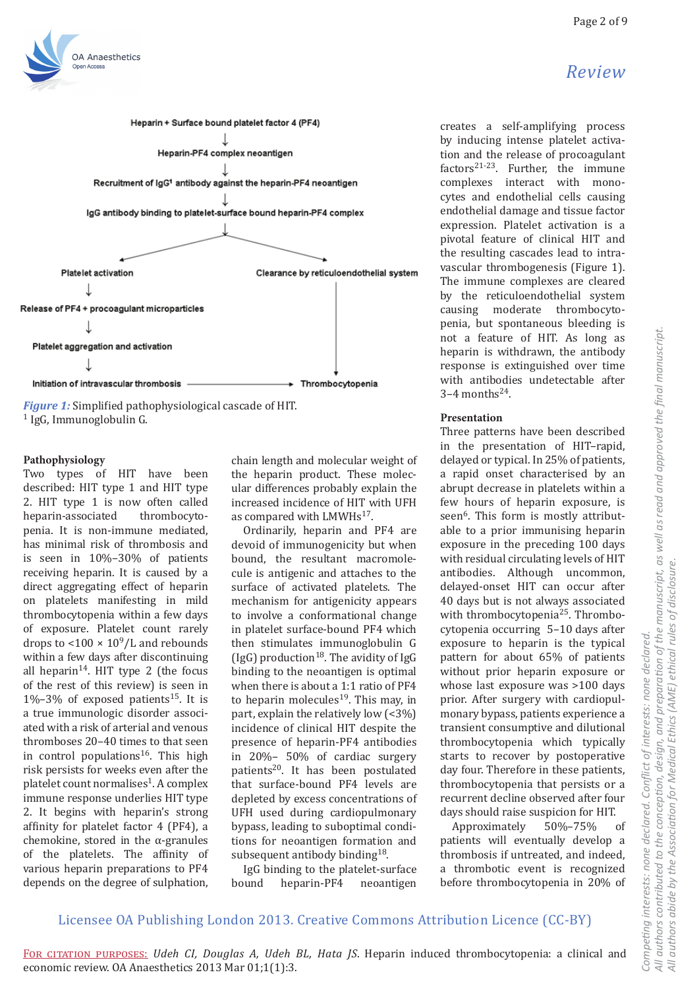# Review



 $1$  IgG, Immunoglobulin G.

OA Anaesthetics

## Pathophysiology

Two types of HIT have been described: HIT type 1 and HIT type 2. HIT type 1 is now often called thrombocytoheparin-associated penia. It is non-immune mediated. has minimal risk of thrombosis and is seen in  $10\% - 30\%$  of patients receiving heparin. It is caused by a direct aggregating effect of heparin on platelets manifesting in mild thrombocytopenia within a few days of exposure. Platelet count rarely drops to  $\langle 100 \times 10^9/L$  and rebounds within a few days after discontinuing all heparin<sup>14</sup>. HIT type 2 (the focus of the rest of this review) is seen in  $1\% - 3\%$  of exposed patients<sup>15</sup>. It is a true immunologic disorder associated with a risk of arterial and venous thromboses 20-40 times to that seen in control populations<sup>16</sup>. This high risk persists for weeks even after the platelet count normalises<sup>1</sup>. A complex immune response underlies HIT type 2. It begins with heparin's strong affinity for platelet factor 4 (PF4), a chemokine, stored in the  $\alpha$ -granules of the platelets. The affinity of various heparin preparations to PF4 depends on the degree of sulphation, chain length and molecular weight of the heparin product. These molecular differences probably explain the increased incidence of HIT with UFH as compared with LMWHs<sup>17</sup>.

Ordinarily, heparin and PF4 are devoid of immunogenicity but when bound, the resultant macromolecule is antigenic and attaches to the surface of activated platelets. The mechanism for antigenicity appears to involve a conformational change in platelet surface-bound PF4 which then stimulates immunoglobulin G (IgG) production<sup>18</sup>. The avidity of IgG binding to the neoantigen is optimal when there is about a 1:1 ratio of PF4 to heparin molecules<sup>19</sup>. This may, in part, explain the relatively low  $(3\%)$ incidence of clinical HIT despite the presence of heparin-PF4 antibodies in  $20\% - 50\%$  of cardiac surgery patients<sup>20</sup>. It has been postulated that surface-bound PF4 levels are depleted by excess concentrations of UFH used during cardiopulmonary bypass, leading to suboptimal conditions for neoantigen formation and subsequent antibody binding<sup>18</sup>.

IgG binding to the platelet-surface bound heparin-PF4 neoantigen creates a self-amplifying process by inducing intense platelet activation and the release of procoagulant factors<sup>21-23</sup>. Further, the immune complexes interact with monocytes and endothelial cells causing endothelial damage and tissue factor expression. Platelet activation is a pivotal feature of clinical HIT and the resulting cascades lead to intravascular thrombogenesis (Figure 1). The immune complexes are cleared by the reticuloendothelial system causing moderate thrombocytopenia, but spontaneous bleeding is not a feature of HIT. As long as heparin is withdrawn, the antibody response is extinguished over time with antibodies undetectable after  $3-4$  months<sup>24</sup>.

## Presentation

Three patterns have been described in the presentation of HIT-rapid, delayed or typical. In 25% of patients, a rapid onset characterised by an abrupt decrease in platelets within a few hours of heparin exposure, is seen<sup>6</sup>. This form is mostly attributable to a prior immunising heparin exposure in the preceding 100 days with residual circulating levels of HIT antibodies. Although uncommon, delayed-onset HIT can occur after 40 days but is not always associated with thrombocytopenia<sup>25</sup>. Thrombocytopenia occurring 5-10 days after exposure to heparin is the typical pattern for about 65% of patients without prior heparin exposure or whose last exposure was >100 days prior. After surgery with cardiopulmonary bypass, patients experience a transient consumptive and dilutional thrombocytopenia which typically starts to recover by postoperative day four. Therefore in these patients, thrombocytopenia that persists or a recurrent decline observed after four days should raise suspicion for HIT.

Approximately 50%-75% of patients will eventually develop a thrombosis if untreated, and indeed, a thrombotic event is recognized before thrombocytopenia in 20% of

# Licensee OA Publishing London 2013. Creative Commons Attribution Licence (CC-BY)

All authors contributed to the conception, design, and preparation of the manuscript, as well as read and approved the final manuscript.<br>All authors abide by the Association for Medical Ethics (AME) ethical rules of disclo Competing interests: none declared. Conflict of interests: none declared.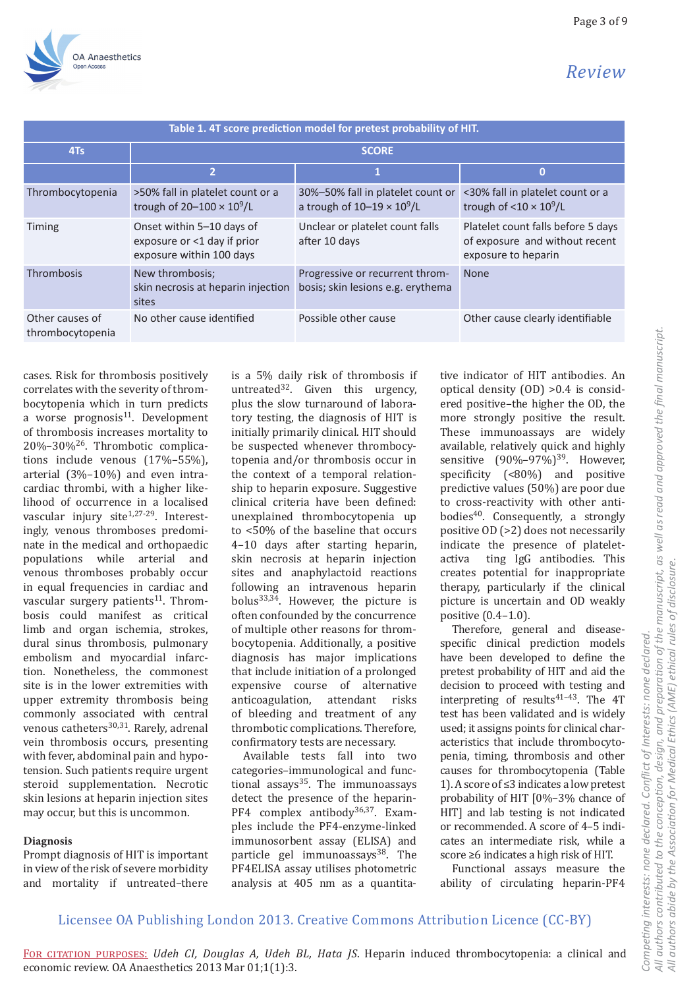

| Table 1. 4T score prediction model for pretest probability of HIT. |                                                                                      |                                                                         |                                                                                             |
|--------------------------------------------------------------------|--------------------------------------------------------------------------------------|-------------------------------------------------------------------------|---------------------------------------------------------------------------------------------|
| 4Ts                                                                | <b>SCORE</b>                                                                         |                                                                         |                                                                                             |
|                                                                    | $\overline{2}$                                                                       | 1                                                                       | $\bf{0}$                                                                                    |
| Thrombocytopenia                                                   | >50% fall in platelet count or a<br>trough of $20-100 \times 10^9$ /L                | 30%-50% fall in platelet count or<br>a trough of $10-19 \times 10^9$ /L | <30% fall in platelet count or a<br>trough of $<$ 10 $\times$ 10 <sup>9</sup> /L            |
| Timing                                                             | Onset within 5-10 days of<br>exposure or <1 day if prior<br>exposure within 100 days | Unclear or platelet count falls<br>after 10 days                        | Platelet count falls before 5 days<br>of exposure and without recent<br>exposure to heparin |
| Thrombosis                                                         | New thrombosis;<br>skin necrosis at heparin injection<br>sites                       | Progressive or recurrent throm-<br>bosis; skin lesions e.g. erythema    | <b>None</b>                                                                                 |
| Other causes of<br>thrombocytopenia                                | No other cause identified                                                            | Possible other cause                                                    | Other cause clearly identifiable                                                            |

cases. Risk for thrombosis positively correlates with the severity of thrombocytopenia which in turn predicts a worse prognosis $11$ . Development of thrombosis increases mortality to  $20\% - 30\%$ <sup>26</sup>. Thrombotic complications include venous  $(17\% - 55\%)$ , arterial (3%-10%) and even intracardiac thrombi, with a higher likelihood of occurrence in a localised vascular injury site<sup>1,27-29</sup>. Interestingly, venous thromboses predominate in the medical and orthopaedic populations while arterial and venous thromboses probably occur in equal frequencies in cardiac and vascular surgery patients<sup>11</sup>. Thrombosis could manifest as critical limb and organ ischemia, strokes, dural sinus thrombosis, pulmonary embolism and myocardial infarction. Nonetheless, the commonest site is in the lower extremities with upper extremity thrombosis being commonly associated with central venous catheters<sup>30,31</sup>. Rarely, adrenal vein thrombosis occurs, presenting with fever, abdominal pain and hypotension. Such patients require urgent steroid supplementation. Necrotic skin lesions at heparin injection sites may occur, but this is uncommon.

## **Diagnosis**

Prompt diagnosis of HIT is important in view of the risk of severe morbidity and mortality if untreated-there

is a 5% daily risk of thrombosis if untreated<sup>32</sup>. Given this urgency, plus the slow turnaround of laboratory testing, the diagnosis of HIT is initially primarily clinical. HIT should be suspected whenever thrombocytopenia and/or thrombosis occur in the context of a temporal relationship to heparin exposure. Suggestive clinical criteria have been defined: unexplained thrombocytopenia up to <50% of the baseline that occurs 4-10 days after starting heparin, skin necrosis at heparin injection sites and anaphylactoid reactions following an intravenous heparin bolus<sup>33,34</sup>. However, the picture is often confounded by the concurrence of multiple other reasons for thrombocytopenia. Additionally, a positive diagnosis has major implications that include initiation of a prolonged expensive course of alternative anticoagulation, attendant risks of bleeding and treatment of any thrombotic complications. Therefore, confirmatory tests are necessary.

Available tests fall into two categories-immunological and functional assays<sup>35</sup>. The immunoassays detect the presence of the heparin-PF4 complex antibody<sup>36,37</sup>. Examples include the PF4-enzyme-linked immunosorbent assay (ELISA) and particle gel immunoassays<sup>38</sup>. The PF4ELISA assay utilises photometric analysis at 405 nm as a quantitative indicator of HIT antibodies. An optical density  $(OD) > 0.4$  is considered positive-the higher the OD, the more strongly positive the result. These immunoassays are widely available, relatively quick and highly sensitive  $(90\% - 97\%)^{39}$ . However, specificity (<80%) and positive predictive values (50%) are poor due to cross-reactivity with other antibodies<sup>40</sup>. Consequently, a strongly positive OD (>2) does not necessarily indicate the presence of plateletactiva ting IgG antibodies. This creates potential for inappropriate therapy, particularly if the clinical picture is uncertain and OD weakly positive  $(0.4-1.0)$ .

Therefore, general and diseasespecific clinical prediction models have been developed to define the pretest probability of HIT and aid the decision to proceed with testing and interpreting of results<sup>41-43</sup>. The 4T test has been validated and is widely used; it assigns points for clinical characteristics that include thrombocytopenia, timing, thrombosis and other causes for thrombocytopenia (Table 1). A score of  $\leq$ 3 indicates a low pretest probability of HIT [0%-3% chance of HIT] and lab testing is not indicated or recommended. A score of 4-5 indicates an intermediate risk, while a score ≥6 indicates a high risk of HIT.

Functional assays measure the ability of circulating heparin-PF4

# Licensee OA Publishing London 2013. Creative Commons Attribution Licence (CC-BY)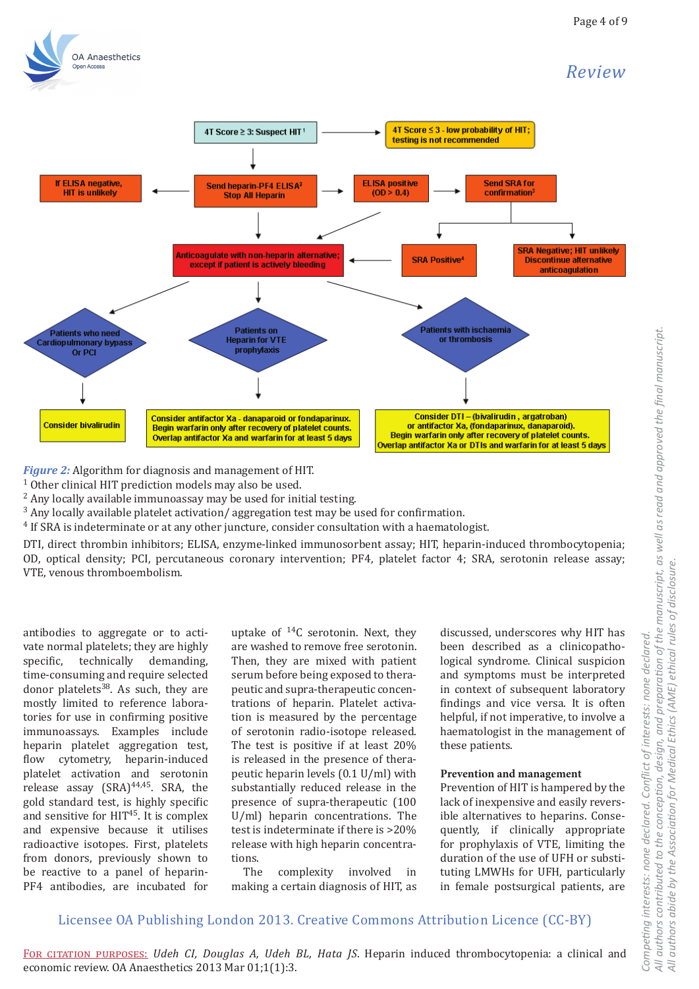# OA Anaesthetics

# Review



Figure 2: Algorithm for diagnosis and management of HIT.

<sup>1</sup> Other clinical HIT prediction models may also be used.

<sup>2</sup> Any locally available immunoassay may be used for initial testing.

<sup>3</sup> Any locally available platelet activation/ aggregation test may be used for confirmation.

<sup>4</sup> If SRA is indeterminate or at any other juncture, consider consultation with a haematologist.

DTI, direct thrombin inhibitors; ELISA, enzyme-linked immunosorbent assay; HIT, heparin-induced thrombocytopenia; OD, optical density; PCI, percutaneous coronary intervention; PF4, platelet factor 4; SRA, serotonin release assay; VTE, venous thromboembolism.

antibodies to aggregate or to activate normal platelets; they are highly specific. technically demanding, time-consuming and require selected donor platelets $38$ . As such, they are mostly limited to reference laboratories for use in confirming positive immunoassays. Examples include heparin platelet aggregation test, flow cytometry, heparin-induced platelet activation and serotonin release assay (SRA)<sup>44,45</sup>. SRA, the gold standard test, is highly specific and sensitive for HIT<sup>45</sup>. It is complex and expensive because it utilises radioactive isotopes. First, platelets from donors, previously shown to be reactive to a panel of heparin-PF4 antibodies, are incubated for

uptake of  ${}^{14}C$  serotonin. Next, they are washed to remove free serotonin. Then, they are mixed with patient serum before being exposed to therapeutic and supra-therapeutic concentrations of heparin. Platelet activation is measured by the percentage of serotonin radio-isotope released. The test is positive if at least 20% is released in the presence of therapeutic heparin levels (0.1 U/ml) with substantially reduced release in the presence of supra-therapeutic (100 U/ml) heparin concentrations. The test is indeterminate if there is >20% release with high heparin concentrations.

The complexity involved in making a certain diagnosis of HIT, as discussed, underscores why HIT has been described as a clinicopathological syndrome. Clinical suspicion and symptoms must be interpreted in context of subsequent laboratory findings and vice versa. It is often helpful, if not imperative, to involve a haematologist in the management of these patients.

## Prevention and management

Prevention of HIT is hampered by the lack of inexpensive and easily reversible alternatives to heparins. Consequently, if clinically appropriate for prophylaxis of VTE, limiting the duration of the use of UFH or substituting LMWHs for UFH, particularly in female postsurgical patients, are

# Licensee OA Publishing London 2013. Creative Commons Attribution Licence (CC-BY)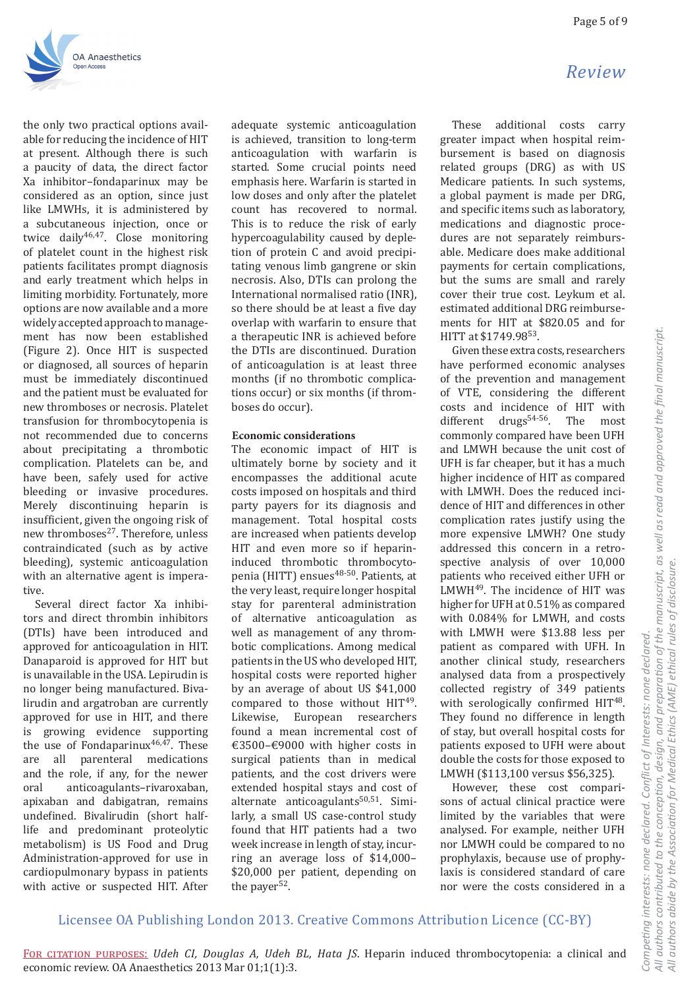

the only two practical options available for reducing the incidence of HIT at present. Although there is such a paucity of data, the direct factor Xa inhibitor-fondaparinux may be considered as an option, since just like LMWHs, it is administered by a subcutaneous injection, once or twice daily<sup>46,47</sup>. Close monitoring of platelet count in the highest risk patients facilitates prompt diagnosis and early treatment which helps in limiting morbidity. Fortunately, more options are now available and a more widely accepted approach to management has now been established (Figure 2). Once HIT is suspected or diagnosed, all sources of heparin must be immediately discontinued and the patient must be evaluated for new thromboses or necrosis. Platelet transfusion for thrombocytopenia is not recommended due to concerns about precipitating a thrombotic complication. Platelets can be, and have been, safely used for active bleeding or invasive procedures. Merely discontinuing heparin is insufficient, given the ongoing risk of new thromboses<sup>27</sup>. Therefore, unless contraindicated (such as by active bleeding), systemic anticoagulation with an alternative agent is imperative.

Several direct factor Xa inhibitors and direct thrombin inhibitors (DTIs) have been introduced and approved for anticoagulation in HIT. Danaparoid is approved for HIT but is unavailable in the USA. Lepirudin is no longer being manufactured. Bivalirudin and argatroban are currently approved for use in HIT, and there growing evidence supporting is the use of Fondaparinux<sup>46,47</sup>. These parenteral medications are all and the role, if any, for the newer oral anticoagulants-rivaroxaban. apixaban and dabigatran, remains undefined. Bivalirudin (short halflife and predominant proteolytic metabolism) is US Food and Drug Administration-approved for use in cardiopulmonary bypass in patients with active or suspected HIT. After adequate systemic anticoagulation is achieved, transition to long-term anticoagulation with warfarin is started. Some crucial points need emphasis here. Warfarin is started in low doses and only after the platelet count has recovered to normal. This is to reduce the risk of early hypercoagulability caused by depletion of protein C and avoid precipitating venous limb gangrene or skin necrosis. Also, DTIs can prolong the International normalised ratio (INR), so there should be at least a five day overlap with warfarin to ensure that a therapeutic INR is achieved before the DTIs are discontinued. Duration of anticoagulation is at least three months (if no thrombotic complications occur) or six months (if thromboses do occur).

## **Economic considerations**

The economic impact of HIT is ultimately borne by society and it encompasses the additional acute costs imposed on hospitals and third party payers for its diagnosis and management. Total hospital costs are increased when patients develop HIT and even more so if heparininduced thrombotic thrombocytopenia (HITT) ensues<sup>48-50</sup>. Patients, at the very least, require longer hospital stay for parenteral administration of alternative anticoagulation as well as management of any thrombotic complications. Among medical patients in the US who developed HIT, hospital costs were reported higher by an average of about US \$41,000 compared to those without  $HIT^{49}$ . European researchers Likewise, found a mean incremental cost of €3500-€9000 with higher costs in surgical patients than in medical patients, and the cost drivers were extended hospital stays and cost of alternate anticoagulants<sup>50,51</sup>. Similarly, a small US case-control study found that HIT patients had a two week increase in length of stay, incurring an average loss of \$14,000-\$20,000 per patient, depending on the payer<sup>52</sup>.

These additional costs carry greater impact when hospital reimbursement is based on diagnosis related groups (DRG) as with US Medicare patients. In such systems, a global payment is made per DRG, and specific items such as laboratory, medications and diagnostic procedures are not separately reimbursable. Medicare does make additional payments for certain complications, but the sums are small and rarely cover their true cost. Leykum et al. estimated additional DRG reimbursements for HIT at \$820.05 and for HITT at \$1749.9853.

Given these extra costs, researchers have performed economic analyses of the prevention and management of VTE, considering the different costs and incidence of HIT with different drugs<sup>54-56</sup>. The most commonly compared have been UFH and LMWH because the unit cost of UFH is far cheaper, but it has a much higher incidence of HIT as compared with LMWH. Does the reduced incidence of HIT and differences in other complication rates justify using the more expensive LMWH? One study addressed this concern in a retrospective analysis of over 10,000 patients who received either UFH or LMWH<sup>49</sup>. The incidence of HIT was higher for UFH at 0.51% as compared with 0.084% for LMWH, and costs with LMWH were \$13.88 less per patient as compared with UFH. In another clinical study, researchers analysed data from a prospectively collected registry of 349 patients with serologically confirmed HIT<sup>48</sup>. They found no difference in length of stay, but overall hospital costs for patients exposed to UFH were about double the costs for those exposed to LMWH (\$113,100 versus \$56,325).

However, these cost comparisons of actual clinical practice were limited by the variables that were analysed. For example, neither UFH nor LMWH could be compared to no prophylaxis, because use of prophylaxis is considered standard of care nor were the costs considered in a

# Licensee OA Publishing London 2013. Creative Commons Attribution Licence (CC-BY)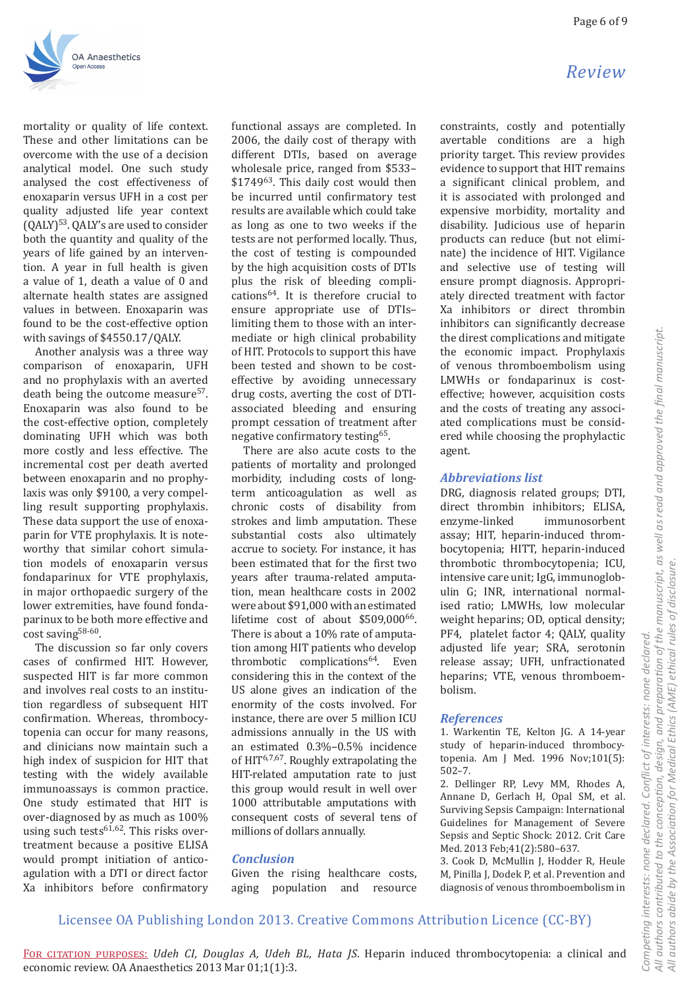Review



mortality or quality of life context. These and other limitations can be overcome with the use of a decision analytical model. One such study analysed the cost effectiveness of enoxaparin versus UFH in a cost per quality adjusted life year context (QALY)<sup>53</sup>. QALY's are used to consider both the quantity and quality of the vears of life gained by an intervention. A year in full health is given a value of 1, death a value of 0 and alternate health states are assigned values in between. Enoxaparin was found to be the cost-effective option with savings of \$4550.17/QALY.

Another analysis was a three way comparison of enoxaparin, UFH and no prophylaxis with an averted death being the outcome measure<sup>57</sup>. Enoxaparin was also found to be the cost-effective option, completely dominating UFH which was both more costly and less effective. The incremental cost per death averted between enoxaparin and no prophylaxis was only \$9100, a very compelling result supporting prophylaxis. These data support the use of enoxaparin for VTE prophylaxis. It is noteworthy that similar cohort simulation models of enoxaparin versus fondaparinux for VTE prophylaxis, in major orthopaedic surgery of the lower extremities, have found fondaparinux to be both more effective and cost saving<sup>58-60</sup>.

The discussion so far only covers cases of confirmed HIT. However, suspected HIT is far more common and involves real costs to an institution regardless of subsequent HIT confirmation. Whereas, thrombocytopenia can occur for many reasons. and clinicians now maintain such a high index of suspicion for HIT that testing with the widely available immunoassays is common practice. One study estimated that HIT is over-diagnosed by as much as 100% using such tests<sup>61,62</sup>. This risks overtreatment because a positive ELISA would prompt initiation of anticoagulation with a DTI or direct factor Xa inhibitors before confirmatory functional assays are completed. In 2006, the daily cost of therapy with different DTIs, based on average wholesale price, ranged from \$533-\$1749<sup>63</sup>. This daily cost would then be incurred until confirmatory test results are available which could take as long as one to two weeks if the tests are not performed locally. Thus, the cost of testing is compounded by the high acquisition costs of DTIs plus the risk of bleeding complications<sup>64</sup>. It is therefore crucial to ensure appropriate use of DTIslimiting them to those with an intermediate or high clinical probability of HIT. Protocols to support this have been tested and shown to be costeffective by avoiding unnecessary drug costs, averting the cost of DTIassociated bleeding and ensuring prompt cessation of treatment after negative confirmatory testing<sup>65</sup>.

There are also acute costs to the patients of mortality and prolonged morbidity, including costs of longterm anticoagulation as well as chronic costs of disability from strokes and limb amputation. These substantial costs also ultimately accrue to society. For instance, it has been estimated that for the first two vears after trauma-related amputation, mean healthcare costs in 2002 were about \$91,000 with an estimated lifetime cost of about \$509,000<sup>66</sup>. There is about a 10% rate of amputation among HIT patients who develop thrombotic complications<sup>64</sup>. Even considering this in the context of the US alone gives an indication of the enormity of the costs involved. For instance, there are over 5 million ICU admissions annually in the US with an estimated 0.3%-0.5% incidence of HIT<sup>6,7,67</sup>. Roughly extrapolating the HIT-related amputation rate to just this group would result in well over 1000 attributable amputations with consequent costs of several tens of millions of dollars annually.

## **Conclusion**

Given the rising healthcare costs, aging population and resource constraints, costly and potentially avertable conditions are a high priority target. This review provides evidence to support that HIT remains a significant clinical problem, and it is associated with prolonged and expensive morbidity, mortality and disability. Judicious use of heparin products can reduce (but not eliminate) the incidence of HIT. Vigilance and selective use of testing will ensure prompt diagnosis. Appropriately directed treatment with factor Xa inhibitors or direct thrombin inhibitors can significantly decrease the direst complications and mitigate the economic impact. Prophylaxis of venous thromboembolism using LMWHs or fondaparinux is costeffective; however, acquisition costs and the costs of treating any associated complications must be considered while choosing the prophylactic

## **Abbreviations list**

agent.

DRG, diagnosis related groups; DTI, direct thrombin inhibitors; ELISA, enzyme-linked immunosorbent assay; HIT, heparin-induced thrombocytopenia; HITT, heparin-induced thrombotic thrombocytopenia; ICU, intensive care unit; IgG, immunoglobulin G; INR, international normalised ratio; LMWHs, low molecular weight heparins; OD, optical density; PF4, platelet factor 4; QALY, quality adjusted life year; SRA, serotonin release assay; UFH, unfractionated heparins; VTE, venous thromboembolism.

## **References**

1. Warkentin TE, Kelton IG, A 14-year study of heparin-induced thrombocytopenia. Am J Med. 1996 Nov;101(5):  $502 - 7.$ 

2. Dellinger RP, Levy MM, Rhodes A, Annane D, Gerlach H, Opal SM, et al. Surviving Sepsis Campaign: International Guidelines for Management of Severe Sepsis and Septic Shock: 2012. Crit Care Med. 2013 Feb;41(2):580-637.

3. Cook D, McMullin J, Hodder R, Heule M, Pinilla J, Dodek P, et al. Prevention and diagnosis of venous thromboembolism in

# Licensee OA Publishing London 2013. Creative Commons Attribution Licence (CC-BY)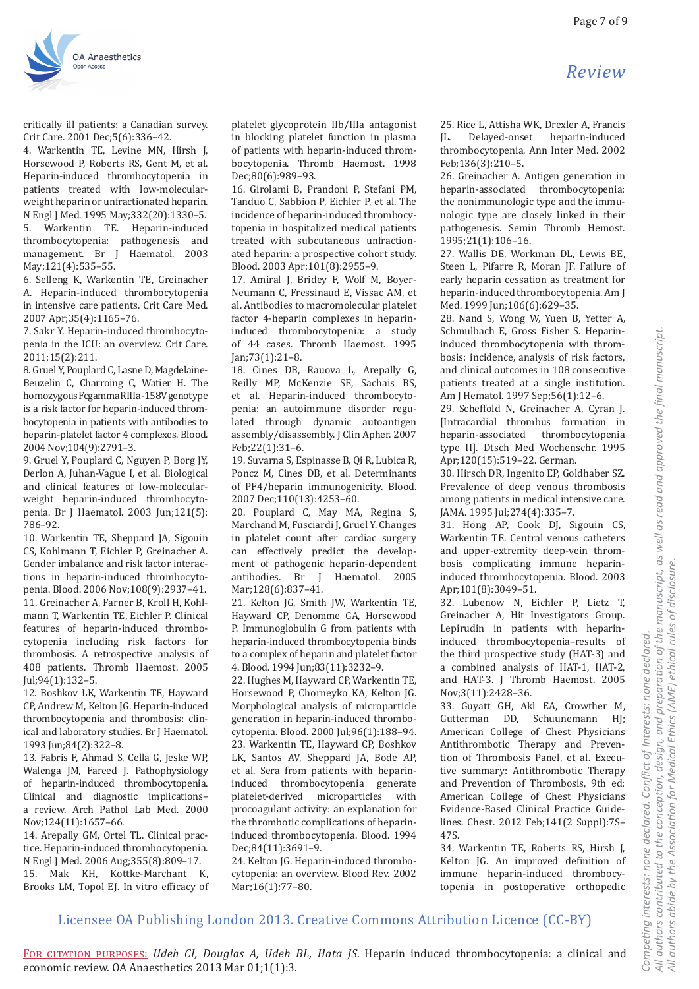

critically ill patients: a Canadian survey. Crit Care. 2001 Dec: 5(6): 336-42.

4. Warkentin TE, Levine MN, Hirsh J, Horsewood P, Roberts RS, Gent M, et al. Heparin-induced thrombocytopenia in patients treated with low-molecularweight heparin or unfractionated heparin. N Engl J Med. 1995 May: 332(20): 1330-5.  $5<sub>1</sub>$ Warkentin TE. Heparin-induced thrombocytopenia: pathogenesis and management. Br J Haematol. 2003 May: 121(4): 535-55.

6. Selleng K, Warkentin TE, Greinacher A. Heparin-induced thrombocytopenia in intensive care patients. Crit Care Med. 2007 Apr; 35(4): 1165-76.

7. Sakr Y. Heparin-induced thrombocytopenia in the ICU: an overview. Crit Care.  $2011:15(2):211.$ 

8. Gruel Y, Pouplard C, Lasne D, Magdelaine-Beuzelin C, Charroing C, Watier H. The homozygousFcgammaRIIIa-158Vgenotype is a risk factor for heparin-induced thrombocytopenia in patients with antibodies to heparin-platelet factor 4 complexes. Blood. 2004 Nov; 104(9): 2791-3.

9. Gruel Y, Pouplard C, Nguyen P, Borg JY, Derlon A, Juhan-Vague I, et al. Biological and clinical features of low-molecularweight heparin-induced thrombocytopenia. Br J Haematol. 2003 Jun;121(5): 786-92.

10. Warkentin TE, Sheppard JA, Sigouin CS. Kohlmann T. Eichler P. Greinacher A. Gender imbalance and risk factor interactions in heparin-induced thrombocytopenia. Blood. 2006 Nov; 108(9): 2937-41. 11. Greinacher A. Farner B. Kroll H. Kohlmann T, Warkentin TE, Eichler P. Clinical features of heparin-induced thrombocytopenia including risk factors for thrombosis. A retrospective analysis of 408 patients. Thromb Haemost. 2005 Iul:94(1):132-5.

12. Boshkov LK, Warkentin TE, Hayward CP. Andrew M. Kelton IG. Heparin-induced thrombocytopenia and thrombosis: clinical and laboratory studies. Br J Haematol. 1993 Jun;84(2):322-8.

13. Fabris F, Ahmad S, Cella G, Jeske WP, Walenga JM, Fareed J. Pathophysiology of heparin-induced thrombocytopenia. Clinical and diagnostic implicationsa review. Arch Pathol Lab Med. 2000 Nov; 124(11): 1657-66.

14. Arepally GM, Ortel TL. Clinical practice. Heparin-induced thrombocytopenia. N Engl J Med. 2006 Aug; 355(8): 809-17. 15. Mak KH, Kottke-Marchant K, Brooks LM, Topol EJ. In vitro efficacy of

platelet glycoprotein IIb/IIIa antagonist in blocking platelet function in plasma of patients with heparin-induced thrombocytopenia. Thromb Haemost, 1998 Dec:80(6):989-93.

16. Girolami B, Prandoni P, Stefani PM, Tanduo C. Sabbion P. Eichler P. et al. The incidence of heparin-induced thrombocytopenia in hospitalized medical patients treated with subcutaneous unfractionated heparin: a prospective cohort study. Blood. 2003 Apr; 101(8): 2955-9.

17. Amiral J, Bridey F, Wolf M, Boyer-Neumann C, Fressinaud E, Vissac AM, et al. Antibodies to macromolecular platelet factor 4-heparin complexes in heparininduced thrombocytopenia: a study of 44 cases. Thromb Haemost. 1995 Jan: 73(1): 21-8.

18. Cines DB, Rauova L, Arepally G, Reilly MP, McKenzie SE, Sachais BS, et al. Heparin-induced thrombocytopenia: an autoimmune disorder regulated through dynamic autoantigen assembly/disassembly. J Clin Apher. 2007 Feb:22(1):31-6.

19. Suvarna S, Espinasse B, Qi R, Lubica R, Poncz M, Cines DB, et al. Determinants of PF4/heparin immunogenicity. Blood. 2007 Dec;110(13):4253-60.

20. Pouplard C, May MA, Regina S, Marchand M, Fusciardi J, Gruel Y. Changes in platelet count after cardiac surgery can effectively predict the development of pathogenic heparin-dependent antibodies. Br J Haematol. 2005 Mar; 128(6): 837-41.

21. Kelton JG, Smith JW, Warkentin TE, Hayward CP, Denomme GA, Horsewood P. Immunoglobulin G from patients with heparin-induced thrombocytopenia binds to a complex of heparin and platelet factor 4. Blood. 1994 Jun;83(11):3232-9.

22. Hughes M. Havward CP. Warkentin TE. Horsewood P, Chorneyko KA, Kelton JG. Morphological analysis of microparticle generation in heparin-induced thrombocytopenia. Blood. 2000 Jul;96(1):188-94. 23. Warkentin TE, Hayward CP, Boshkov LK, Santos AV, Sheppard JA, Bode AP, et al. Sera from patients with heparininduced thrombocytopenia generate platelet-derived microparticles with procoagulant activity: an explanation for the thrombotic complications of heparininduced thrombocytopenia. Blood. 1994 Dec;84(11):3691-9.

24. Kelton JG. Heparin-induced thrombocytopenia: an overview. Blood Rev. 2002 Mar;16(1):77-80.

25. Rice L. Attisha WK. Drexler A. Francis heparin-induced  $IL.$ Delayed-onset thrombocytopenia. Ann Inter Med. 2002 Feb;136(3):210-5.

26. Greinacher A. Antigen generation in heparin-associated thrombocytopenia: the nonimmunologic type and the immunologic type are closely linked in their pathogenesis. Semin Thromb Hemost. 1995:21(1):106-16.

27. Wallis DE, Workman DL, Lewis BE, Steen L, Pifarre R, Moran JF. Failure of early heparin cessation as treatment for heparin-induced thrombocytopenia. Am J Med. 1999 Jun; 106(6): 629-35.

28. Nand S, Wong W, Yuen B, Yetter A, Schmulbach E, Gross Fisher S. Heparininduced thrombocytopenia with thrombosis: incidence, analysis of risk factors, and clinical outcomes in 108 consecutive patients treated at a single institution. Am J Hematol. 1997 Sep;56(1):12-6.

29. Scheffold N, Greinacher A, Cyran J. [Intracardial thrombus formation in heparin-associated thrombocytopenia type II]. Dtsch Med Wochenschr. 1995 Apr;120(15):519-22. German.

30. Hirsch DR, Ingenito EP, Goldhaber SZ. Prevalence of deep venous thrombosis among patients in medical intensive care. JAMA. 1995 Jul; 274(4): 335-7.

31. Hong AP, Cook DJ, Sigouin CS, Warkentin TE. Central venous catheters and upper-extremity deep-vein thrombosis complicating immune heparininduced thrombocytopenia. Blood. 2003 Apr;101(8):3049-51.

32. Lubenow N, Eichler P, Lietz T, Greinacher A, Hit Investigators Group. Lepirudin in patients with heparininduced thrombocytopenia-results of the third prospective study (HAT-3) and a combined analysis of HAT-1, HAT-2, and HAT-3. J Thromb Haemost. 2005 Nov;3(11):2428-36.

33. Guyatt GH, Akl EA, Crowther M, Gutterman DD. Schuunemann HI: American College of Chest Physicians Antithrombotic Therapy and Prevention of Thrombosis Panel, et al. Executive summary: Antithrombotic Therapy and Prevention of Thrombosis, 9th ed: American College of Chest Physicians Evidence-Based Clinical Practice Guidelines. Chest. 2012 Feb;141(2 Suppl):7S-47S

34. Warkentin TE, Roberts RS, Hirsh J, Kelton JG. An improved definition of immune heparin-induced thrombocytopenia in postoperative orthopedic

## Licensee OA Publishing London 2013. Creative Commons Attribution Licence (CC-BY)

# Review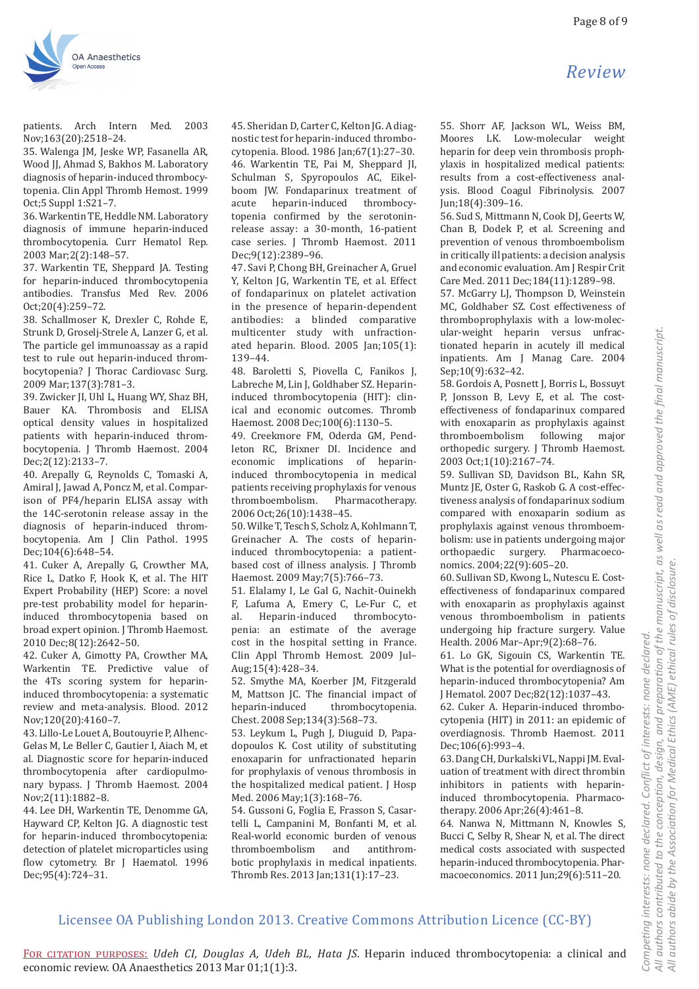

patients. Arch Intern Med. 2003 Nov:163(20):2518-24.

35. Walenga JM, Jeske WP, Fasanella AR, Wood JJ, Ahmad S, Bakhos M. Laboratory diagnosis of heparin-induced thrombocytopenia. Clin Appl Thromb Hemost. 1999 Oct:5 Suppl 1:S21-7.

36. Warkentin TE, Heddle NM. Laboratory diagnosis of immune heparin-induced thrombocytopenia. Curr Hematol Rep. 2003 Mar; 2(2): 148-57.

37. Warkentin TE, Sheppard JA. Testing for heparin-induced thrombocytopenia antibodies. Transfus Med Rev. 2006 Oct:20(4):259-72.

38. Schallmoser K, Drexler C, Rohde E, Strunk D, Groselj-Strele A, Lanzer G, et al. The particle gel immunoassay as a rapid test to rule out heparin-induced thrombocytopenia? J Thorac Cardiovasc Surg. 2009 Mar; 137(3): 781-3.

39. Zwicker JI, Uhl L, Huang WY, Shaz BH, Bauer KA. Thrombosis and ELISA optical density values in hospitalized patients with heparin-induced thrombocytopenia. J Thromb Haemost. 2004 Dec:2(12):2133-7.

40. Arepally G, Reynolds C, Tomaski A, Amiral J, Jawad A, Poncz M, et al. Comparison of PF4/heparin ELISA assay with the 14C-serotonin release assay in the diagnosis of heparin-induced thrombocytopenia. Am J Clin Pathol. 1995 Dec; 104(6): 648 - 54.

41. Cuker A, Arepally G, Crowther MA, Rice L, Datko F, Hook K, et al. The HIT Expert Probability (HEP) Score: a novel pre-test probability model for heparininduced thrombocytopenia based on broad expert opinion. J Thromb Haemost. 2010 Dec;8(12):2642-50.

42. Cuker A. Gimotty PA. Crowther MA. Warkentin TE. Predictive value of the 4Ts scoring system for heparininduced thrombocytopenia: a systematic review and meta-analysis. Blood. 2012 Nov; 120(20): 4160-7.

43. Lillo-Le Louet A. Boutouvrie P. Alhenc-Gelas M, Le Beller C, Gautier I, Aiach M, et al. Diagnostic score for heparin-induced thrombocytopenia after cardiopulmonary bypass. J Thromb Haemost. 2004 Nov; 2(11): 1882-8.

44. Lee DH, Warkentin TE, Denomme GA, Hayward CP, Kelton JG. A diagnostic test for heparin-induced thrombocytopenia: detection of platelet microparticles using flow cytometry. Br J Haematol. 1996 Dec;95(4):724-31.

45. Sheridan D, Carter C, Kelton JG. A diagnostic test for heparin-induced thrombocytopenia. Blood. 1986 Jan; 67(1): 27-30. 46. Warkentin TE, Pai M, Sheppard JI, Schulman S, Spyropoulos AC, Eikelboom JW. Fondaparinux treatment of acute heparin-induced thrombocytopenia confirmed by the serotoninrelease assay: a 30-month, 16-patient case series. J Thromb Haemost. 2011 Dec;9(12):2389-96.

47. Savi P, Chong BH, Greinacher A, Gruel Y, Kelton JG, Warkentin TE, et al. Effect of fondaparinux on platelet activation in the presence of heparin-dependent antibodies: a blinded comparative multicenter study with unfractionated heparin. Blood.  $2005$  Jan; $105(1)$ : 139-44.

48. Baroletti S, Piovella C, Fanikos J, Labreche M, Lin J, Goldhaber SZ. Heparininduced thrombocytopenia (HIT): clinical and economic outcomes. Thromb Haemost. 2008 Dec; 100(6): 1130-5.

49. Creekmore FM, Oderda GM, Pendleton RC, Brixner DI. Incidence and economic implications of heparininduced thrombocytopenia in medical patients receiving prophylaxis for venous thromboembolism. Pharmacotherapy. 2006 Oct;26(10):1438-45.

50. Wilke T, Tesch S, Scholz A, Kohlmann T, Greinacher A. The costs of heparininduced thrombocytopenia: a patientbased cost of illness analysis. J Thromb Haemost. 2009 May; 7(5): 766-73.

51. Elalamy I, Le Gal G, Nachit-Ouinekh F, Lafuma A, Emery C, Le-Fur C, et  $a<sup>1</sup>$ Heparin-induced thrombocytopenia: an estimate of the average cost in the hospital setting in France. Clin Appl Thromb Hemost. 2009 Jul-Aug; 15(4): 428-34.

52. Smythe MA, Koerber JM, Fitzgerald M, Mattson JC. The financial impact of heparin-induced thrombocytopenia. Chest. 2008 Sep; 134(3): 568-73.

53. Leykum L, Pugh J, Diuguid D, Papadopoulos K. Cost utility of substituting enoxaparin for unfractionated heparin for prophylaxis of venous thrombosis in the hospitalized medical patient. J Hosp Med. 2006 May; 1(3): 168-76.

54. Gussoni G, Foglia E, Frasson S, Casartelli L, Campanini M, Bonfanti M, et al. Real-world economic burden of venous thromboembolism and antithrombotic prophylaxis in medical inpatients. Thromb Res. 2013 Jan; 131(1): 17-23.

Jun;18(4):309-16. 56. Sud S, Mittmann N, Cook DJ, Geerts W, Chan B, Dodek P, et al. Screening and prevention of venous thromboembolism in critically ill patients: a decision analysis and economic evaluation. Am J Respir Crit

Care Med. 2011 Dec: 184(11): 1289-98. 57. McGarry LI, Thompson D. Weinstein MC, Goldhaber SZ. Cost effectiveness of thromboprophylaxis with a low-molecular-weight heparin versus unfractionated heparin in acutely ill medical inpatients. Am J Manag Care. 2004 Sep;10(9):632-42.

58. Gordois A, Posnett J, Borris L, Bossuyt P, Jonsson B, Levy E, et al. The costeffectiveness of fondaparinux compared with enoxaparin as prophylaxis against thromboembolism following major orthopedic surgery. J Thromb Haemost. 2003 Oct;1(10):2167-74.

59. Sullivan SD, Davidson BL, Kahn SR, Muntz JE, Oster G, Raskob G. A cost-effectiveness analysis of fondaparinux sodium compared with enoxaparin sodium as prophylaxis against venous thromboembolism: use in patients undergoing major surgery. Pharmacoecoorthopaedic nomics. 2004;22(9):605-20.

60. Sullivan SD. Kwong L. Nutescu E. Costeffectiveness of fondaparinux compared with enoxaparin as prophylaxis against venous thromboembolism in patients undergoing hip fracture surgery. Value Health. 2006 Mar-Apr;9(2):68-76.

61. Lo GK, Sigouin CS, Warkentin TE. What is the potential for overdiagnosis of heparin-induced thrombocytopenia? Am J Hematol. 2007 Dec; 82(12): 1037-43.

62. Cuker A. Heparin-induced thrombocytopenia (HIT) in 2011: an epidemic of overdiagnosis. Thromb Haemost. 2011 Dec:106(6):993-4.

63. Dang CH, Durkalski VL, Nappi JM. Evaluation of treatment with direct thrombin inhibitors in patients with heparininduced thrombocytopenia. Pharmacotherapy. 2006 Apr; 26(4): 461-8.

64. Nanwa N, Mittmann N, Knowles S, Bucci C, Selby R, Shear N, et al. The direct medical costs associated with suspected heparin-induced thrombocytopenia. Pharmacoeconomics. 2011 Jun;29(6):511-20.

# Licensee OA Publishing London 2013. Creative Commons Attribution Licence (CC-BY)

Review